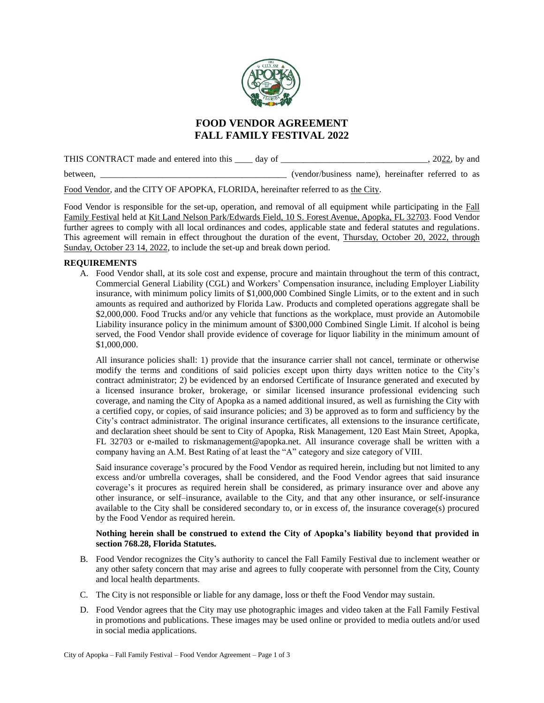

# **FOOD VENDOR AGREEMENT FALL FAMILY FESTIVAL 2022**

THIS CONTRACT made and entered into this \_\_\_\_ day of \_\_\_\_\_\_\_\_\_\_\_\_\_\_\_\_\_\_\_\_\_\_\_\_\_\_\_\_, 2022, by and

between,  $(vendor/business name)$ , hereinafter referred to as

Food Vendor, and the CITY OF APOPKA, FLORIDA, hereinafter referred to as the City.

Food Vendor is responsible for the set-up, operation, and removal of all equipment while participating in the Fall Family Festival held at Kit Land Nelson Park/Edwards Field, 10 S. Forest Avenue, Apopka, FL 32703. Food Vendor further agrees to comply with all local ordinances and codes, applicable state and federal statutes and regulations. This agreement will remain in effect throughout the duration of the event, Thursday, October 20, 2022, through Sunday, October 23 14, 2022, to include the set-up and break down period.

## **REQUIREMENTS**

A. Food Vendor shall, at its sole cost and expense, procure and maintain throughout the term of this contract, Commercial General Liability (CGL) and Workers' Compensation insurance, including Employer Liability insurance, with minimum policy limits of \$1,000,000 Combined Single Limits, or to the extent and in such amounts as required and authorized by Florida Law. Products and completed operations aggregate shall be \$2,000,000. Food Trucks and/or any vehicle that functions as the workplace, must provide an Automobile Liability insurance policy in the minimum amount of \$300,000 Combined Single Limit. If alcohol is being served, the Food Vendor shall provide evidence of coverage for liquor liability in the minimum amount of \$1,000,000.

All insurance policies shall: 1) provide that the insurance carrier shall not cancel, terminate or otherwise modify the terms and conditions of said policies except upon thirty days written notice to the City's contract administrator; 2) be evidenced by an endorsed Certificate of Insurance generated and executed by a licensed insurance broker, brokerage, or similar licensed insurance professional evidencing such coverage, and naming the City of Apopka as a named additional insured, as well as furnishing the City with a certified copy, or copies, of said insurance policies; and 3) be approved as to form and sufficiency by the City's contract administrator. The original insurance certificates, all extensions to the insurance certificate, and declaration sheet should be sent to City of Apopka, Risk Management, 120 East Main Street, Apopka, FL 32703 or e-mailed to [riskmanagement@apopka.net.](mailto:riskmanagement@apopka.net) All insurance coverage shall be written with a company having an A.M. Best Rating of at least the "A" category and size category of VIII.

Said insurance coverage's procured by the Food Vendor as required herein, including but not limited to any excess and/or umbrella coverages, shall be considered, and the Food Vendor agrees that said insurance coverage's it procures as required herein shall be considered, as primary insurance over and above any other insurance, or self–insurance, available to the City, and that any other insurance, or self-insurance available to the City shall be considered secondary to, or in excess of, the insurance coverage(s) procured by the Food Vendor as required herein.

## **Nothing herein shall be construed to extend the City of Apopka's liability beyond that provided in section 768.28, Florida Statutes.**

- B. Food Vendor recognizes the City's authority to cancel the Fall Family Festival due to inclement weather or any other safety concern that may arise and agrees to fully cooperate with personnel from the City, County and local health departments.
- C. The City is not responsible or liable for any damage, loss or theft the Food Vendor may sustain.
- D. Food Vendor agrees that the City may use photographic images and video taken at the Fall Family Festival in promotions and publications. These images may be used online or provided to media outlets and/or used in social media applications.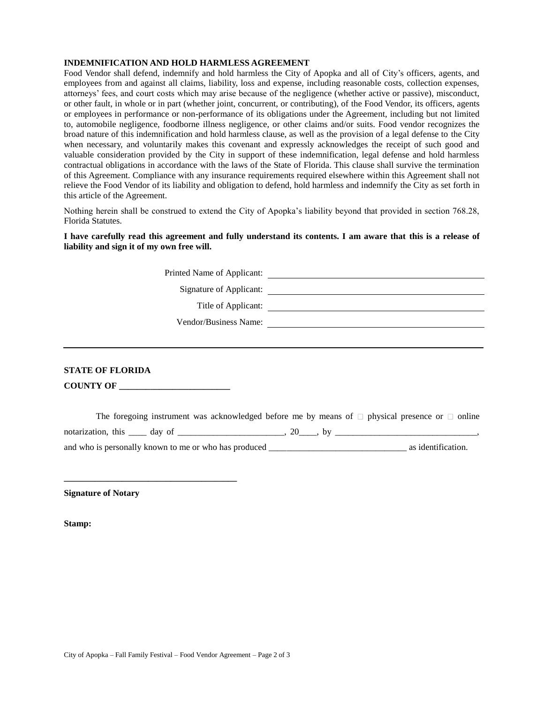#### **INDEMNIFICATION AND HOLD HARMLESS AGREEMENT**

Food Vendor shall defend, indemnify and hold harmless the City of Apopka and all of City's officers, agents, and employees from and against all claims, liability, loss and expense, including reasonable costs, collection expenses, attorneys' fees, and court costs which may arise because of the negligence (whether active or passive), misconduct, or other fault, in whole or in part (whether joint, concurrent, or contributing), of the Food Vendor, its officers, agents or employees in performance or non-performance of its obligations under the Agreement, including but not limited to, automobile negligence, foodborne illness negligence, or other claims and/or suits. Food vendor recognizes the broad nature of this indemnification and hold harmless clause, as well as the provision of a legal defense to the City when necessary, and voluntarily makes this covenant and expressly acknowledges the receipt of such good and valuable consideration provided by the City in support of these indemnification, legal defense and hold harmless contractual obligations in accordance with the laws of the State of Florida. This clause shall survive the termination of this Agreement. Compliance with any insurance requirements required elsewhere within this Agreement shall not relieve the Food Vendor of its liability and obligation to defend, hold harmless and indemnify the City as set forth in this article of the Agreement.

Nothing herein shall be construed to extend the City of Apopka's liability beyond that provided in section 768.28, Florida Statutes.

#### **I have carefully read this agreement and fully understand its contents. I am aware that this is a release of liability and sign it of my own free will.**

Printed Name of Applicant:

Signature of Applicant:

Title of Applicant:

Vendor/Business Name:

# **STATE OF FLORIDA**

**COUNTY OF \_\_\_\_\_\_\_\_\_\_\_\_\_\_\_\_\_\_\_\_\_\_\_\_\_**

**\_\_\_\_\_\_\_\_\_\_\_\_\_\_\_\_\_\_\_\_\_\_\_\_\_\_\_\_\_\_\_\_\_\_\_\_\_\_\_**

The foregoing instrument was acknowledged before me by means of  $\Box$  physical presence or  $\Box$  online notarization, this  $\Box$  day of  $\Box$ and who is personally known to me or who has produced \_\_\_\_\_\_\_\_\_\_\_\_\_\_\_\_\_\_\_\_\_\_\_\_\_\_\_\_\_\_\_ as identification.

**Signature of Notary**

**Stamp:**